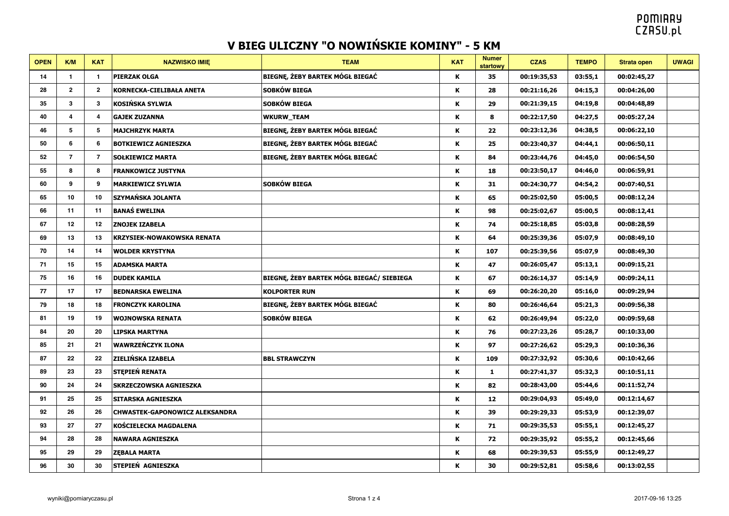| <b>OPEN</b> | K/M                    | <b>KAT</b>     | <b>NAZWISKO IMIE</b>                  | <b>TEAM</b>                               | <b>KAT</b> | <b>Numer</b><br>startowy | <b>CZAS</b> | <b>TEMPO</b> | <b>Strata open</b> | <b>UWAGI</b> |
|-------------|------------------------|----------------|---------------------------------------|-------------------------------------------|------------|--------------------------|-------------|--------------|--------------------|--------------|
| 14          | $\mathbf{1}$           | -1             | <b>PIERZAK OLGA</b>                   | BIEGNĘ, ŻEBY BARTEK MÓGŁ BIEGAĆ           | Κ          | 35                       | 00:19:35,53 | 03:55,1      | 00:02:45,27        |              |
| 28          | $\overline{2}$         | $\mathbf{2}$   | KORNECKA-CIELIBAŁA ANETA              | SOBKÓW BIEGA                              | K          | 28                       | 00:21:16,26 | 04:15,3      | 00:04:26,00        |              |
| 35          | $\mathbf{3}$           | 3              | KOSIŃSKA SYLWIA                       | SOBKÓW BIEGA                              | K          | 29                       | 00:21:39,15 | 04:19,8      | 00:04:48,89        |              |
| 40          | $\boldsymbol{\Lambda}$ | Δ              | <b>GAJEK ZUZANNA</b>                  | <b>WKURW_TEAM</b>                         | K          | 8                        | 00:22:17,50 | 04:27,5      | 00:05:27,24        |              |
| 46          | 5                      | 5              | <b>MAJCHRZYK MARTA</b>                | BIEGNĘ, ŻEBY BARTEK MÓGŁ BIEGAĆ           | ĸ          | 22                       | 00:23:12,36 | 04:38,5      | 00:06:22,10        |              |
| 50          | 6                      | 6              | <b>BOTKIEWICZ AGNIESZKA</b>           | BIEGNĘ, ŻEBY BARTEK MÓGŁ BIEGAĆ           | ĸ          | 25                       | 00:23:40,37 | 04:44,1      | 00:06:50,11        |              |
| 52          | $\overline{7}$         | $\overline{7}$ | <b>SOŁKIEWICZ MARTA</b>               | BIEGNĘ, ŻEBY BARTEK MÓGŁ BIEGAĆ           | K          | 84                       | 00:23:44,76 | 04:45,0      | 00:06:54,50        |              |
| 55          | 8                      | 8              | <b>FRANKOWICZ JUSTYNA</b>             |                                           | ĸ          | 18                       | 00:23:50,17 | 04:46,0      | 00:06:59,91        |              |
| 60          | 9                      | 9              | <b>MARKIEWICZ SYLWIA</b>              | SOBKÓW BIEGA                              | K          | 31                       | 00:24:30,77 | 04:54,2      | 00:07:40,51        |              |
| 65          | 10                     | 10             | SZYMAŃSKA JOLANTA                     |                                           | K          | 65                       | 00:25:02,50 | 05:00,5      | 00:08:12,24        |              |
| 66          | 11                     | 11             | <b>BANAŚ EWELINA</b>                  |                                           | ĸ          | 98                       | 00:25:02,67 | 05:00,5      | 00:08:12,41        |              |
| 67          | 12                     | 12             | <b>ZNOJEK IZABELA</b>                 |                                           | K          | 74                       | 00:25:18,85 | 05:03,8      | 00:08:28,59        |              |
| 69          | 13                     | 13             | <b>KRZYSIEK-NOWAKOWSKA RENATA</b>     |                                           | ĸ          | 64                       | 00:25:39,36 | 05:07,9      | 00:08:49,10        |              |
| 70          | 14                     | 14             | <b>WOLDER KRYSTYNA</b>                |                                           | K          | 107                      | 00:25:39,56 | 05:07,9      | 00:08:49,30        |              |
| 71          | 15                     | 15             | <b>ADAMSKA MARTA</b>                  |                                           | ĸ          | 47                       | 00:26:05,47 | 05:13,1      | 00:09:15,21        |              |
| 75          | 16                     | 16             | <b>DUDEK KAMILA</b>                   | BIEGNĘ, ŻEBY BARTEK MÓGŁ BIEGAĆ/ SIEBIEGA | K          | 67                       | 00:26:14,37 | 05:14,9      | 00:09:24,11        |              |
| 77          | 17                     | 17             | <b>BEDNARSKA EWELINA</b>              | <b>KOLPORTER RUN</b>                      | K          | 69                       | 00:26:20,20 | 05:16,0      | 00:09:29,94        |              |
| 79          | 18                     | 18             | <b>FRONCZYK KAROLINA</b>              | BIEGNĘ, ŻEBY BARTEK MÓGŁ BIEGAĆ           | K          | 80                       | 00:26:46,64 | 05:21,3      | 00:09:56,38        |              |
| 81          | 19                     | 19             | <b>WOJNOWSKA RENATA</b>               | SOBKÓW BIEGA                              | ĸ          | 62                       | 00:26:49,94 | 05:22,0      | 00:09:59,68        |              |
| 84          | 20                     | 20             | <b>LIPSKA MARTYNA</b>                 |                                           | ĸ          | 76                       | 00:27:23,26 | 05:28,7      | 00:10:33,00        |              |
| 85          | 21                     | 21             | WAWRZEŃCZYK ILONA                     |                                           | K          | 97                       | 00:27:26,62 | 05:29,3      | 00:10:36,36        |              |
| 87          | 22                     | 22             | <b>ZIELIŃSKA IZABELA</b>              | <b>BBL STRAWCZYN</b>                      | K          | 109                      | 00:27:32,92 | 05:30,6      | 00:10:42,66        |              |
| 89          | 23                     | 23             | STEPIEŃ RENATA                        |                                           | K          | $\mathbf{1}$             | 00:27:41,37 | 05:32,3      | 00:10:51,11        |              |
| 90          | 24                     | 24             | <b>SKRZECZOWSKA AGNIESZKA</b>         |                                           | ĸ          | 82                       | 00:28:43,00 | 05:44,6      | 00:11:52,74        |              |
| 91          | 25                     | 25             | <b>SITARSKA AGNIESZKA</b>             |                                           | ĸ          | 12                       | 00:29:04,93 | 05:49,0      | 00:12:14,67        |              |
| 92          | 26                     | 26             | <b>CHWASTEK-GAPONOWICZ ALEKSANDRA</b> |                                           | K          | 39                       | 00:29:29,33 | 05:53,9      | 00:12:39,07        |              |
| 93          | 27                     | 27             | KOŚCIELECKA MAGDALENA                 |                                           | K          | 71                       | 00:29:35,53 | 05:55,1      | 00:12:45,27        |              |
| 94          | 28                     | 28             | <b>NAWARA AGNIESZKA</b>               |                                           | K          | 72                       | 00:29:35,92 | 05:55,2      | 00:12:45,66        |              |
| 95          | 29                     | 29             | <b>ZEBALA MARTA</b>                   |                                           | ĸ          | 68                       | 00:29:39,53 | 05:55,9      | 00:12:49,27        |              |
| 96          | 30                     | 30             | STEPIEŃ AGNIESZKA                     |                                           | K          | 30                       | 00:29:52,81 | 05:58,6      | 00:13:02,55        |              |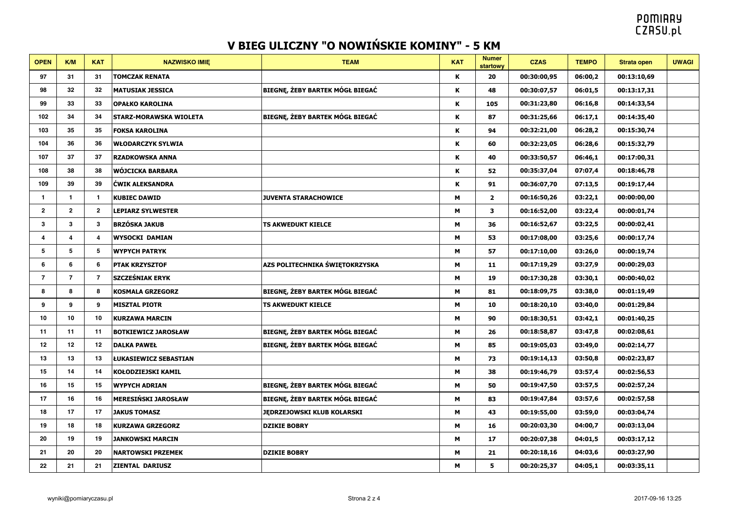| <b>OPEN</b>    | KM             | <b>KAT</b>   | <b>NAZWISKO IMIE</b>          | <b>TEAM</b>                            | <b>KAT</b> | <b>Numer</b><br>startowy | <b>CZAS</b> | <b>TEMPO</b> | <b>Strata open</b> | <b>UWAGI</b> |
|----------------|----------------|--------------|-------------------------------|----------------------------------------|------------|--------------------------|-------------|--------------|--------------------|--------------|
| 97             | 31             | 31           | <b>TOMCZAK RENATA</b>         |                                        | К          | 20                       | 00:30:00,95 | 06:00,2      | 00:13:10,69        |              |
| 98             | 32             | 32           | <b>MATUSIAK JESSICA</b>       | <b>BIEGNE, ŻEBY BARTEK MÓGŁ BIEGAĆ</b> | К          | 48                       | 00:30:07,57 | 06:01,5      | 00:13:17,31        |              |
| 99             | 33             | 33           | <b>OPAŁKO KAROLINA</b>        |                                        | K          | 105                      | 00:31:23,80 | 06:16,8      | 00:14:33,54        |              |
| 102            | 34             | 34           | <b>STARZ-MORAWSKA WIOLETA</b> | <b>BIEGNĘ, ŻEBY BARTEK MÓGŁ BIEGAĆ</b> | К          | 87                       | 00:31:25,66 | 06:17,1      | 00:14:35,40        |              |
| 103            | 35             | 35           | <b>FOKSA KAROLINA</b>         |                                        | Κ          | 94                       | 00:32:21,00 | 06:28,2      | 00:15:30,74        |              |
| 104            | 36             | 36           | WŁODARCZYK SYLWIA             |                                        | К          | 60                       | 00:32:23,05 | 06:28,6      | 00:15:32,79        |              |
| 107            | 37             | 37           | <b>RZADKOWSKA ANNA</b>        |                                        | Κ          | 40                       | 00:33:50,57 | 06:46,1      | 00:17:00,31        |              |
| 108            | 38             | 38           | WÓJCICKA BARBARA              |                                        | K          | 52                       | 00:35:37,04 | 07:07,4      | 00:18:46,78        |              |
| 109            | 39             | 39           | ĆWIK ALEKSANDRA               |                                        | К          | 91                       | 00:36:07,70 | 07:13,5      | 00:19:17,44        |              |
| $\mathbf{1}$   | $\mathbf{1}$   | -1           | <b>KUBIEC DAWID</b>           | <b>JUVENTA STARACHOWICE</b>            | М          | $\overline{2}$           | 00:16:50,26 | 03:22,1      | 00:00:00,00        |              |
| $\overline{2}$ | $\overline{2}$ | $\mathbf{2}$ | <b>LEPIARZ SYLWESTER</b>      |                                        | M          | 3                        | 00:16:52,00 | 03:22,4      | 00:00:01,74        |              |
| 3              | 3              | 3            | <b>BRZÓSKA JAKUB</b>          | <b>TS AKWEDUKT KIELCE</b>              | М          | 36                       | 00:16:52,67 | 03:22,5      | 00:00:02,41        |              |
| $\overline{4}$ | 4              | 4            | <b>WYSOCKI DAMIAN</b>         |                                        | M          | 53                       | 00:17:08,00 | 03:25,6      | 00:00:17,74        |              |
| 5              | 5              | 5            | <b>WYPYCH PATRYK</b>          |                                        | M          | 57                       | 00:17:10,00 | 03:26,0      | 00:00:19,74        |              |
| 6              | 6              | 6            | <b>PTAK KRZYSZTOF</b>         | AZS POLITECHNIKA ŚWIĘTOKRZYSKA         | М          | 11                       | 00:17:19,29 | 03:27,9      | 00:00:29,03        |              |
| $\overline{7}$ | $\overline{7}$ | 7            | <b>SZCZEŚNIAK ERYK</b>        |                                        | M          | 19                       | 00:17:30,28 | 03:30,1      | 00:00:40,02        |              |
| 8              | 8              | 8            | <b>KOSMALA GRZEGORZ</b>       | <b>BIEGNE, ŻEBY BARTEK MÓGŁ BIEGAĆ</b> | М          | 81                       | 00:18:09,75 | 03:38,0      | 00:01:19,49        |              |
| 9              | 9              | 9            | <b>MISZTAL PIOTR</b>          | <b>TS AKWEDUKT KIELCE</b>              | М          | 10                       | 00:18:20,10 | 03:40,0      | 00:01:29,84        |              |
| 10             | 10             | 10           | <b>KURZAWA MARCIN</b>         |                                        | M          | 90                       | 00:18:30,51 | 03:42,1      | 00:01:40,25        |              |
| 11             | 11             | 11           | <b>BOTKIEWICZ JAROSŁAW</b>    | BIEGNE, ŻEBY BARTEK MÓGŁ BIEGAĆ        | М          | 26                       | 00:18:58,87 | 03:47,8      | 00:02:08,61        |              |
| 12             | 12             | 12           | <b>DALKA PAWEŁ</b>            | <b>BIEGNE, ŻEBY BARTEK MÓGŁ BIEGAĆ</b> | M          | 85                       | 00:19:05,03 | 03:49,0      | 00:02:14,77        |              |
| 13             | 13             | 13           | <b>ŁUKASIEWICZ SEBASTIAN</b>  |                                        | M          | 73                       | 00:19:14,13 | 03:50,8      | 00:02:23,87        |              |
| 15             | 14             | 14           | <b>KOŁODZIEJSKI KAMIL</b>     |                                        | M          | 38                       | 00:19:46,79 | 03:57,4      | 00:02:56,53        |              |
| 16             | 15             | 15           | <b>WYPYCH ADRIAN</b>          | BIEGNE, ŻEBY BARTEK MÓGŁ BIEGAĆ        | M          | 50                       | 00:19:47,50 | 03:57,5      | 00:02:57,24        |              |
| 17             | 16             | 16           | <b>MERESIŃSKI JAROSŁAW</b>    | BIEGNE, ŻEBY BARTEK MÓGŁ BIEGAĆ        | М          | 83                       | 00:19:47,84 | 03:57,6      | 00:02:57,58        |              |
| 18             | 17             | 17           | <b>JAKUS TOMASZ</b>           | <b>JEDRZEJOWSKI KLUB KOLARSKI</b>      | M          | 43                       | 00:19:55,00 | 03:59,0      | 00:03:04,74        |              |
| 19             | 18             | 18           | <b>KURZAWA GRZEGORZ</b>       | <b>DZIKIE BOBRY</b>                    | M          | 16                       | 00:20:03,30 | 04:00,7      | 00:03:13,04        |              |
| 20             | 19             | 19           | <b>JANKOWSKI MARCIN</b>       |                                        | M          | 17                       | 00:20:07,38 | 04:01,5      | 00:03:17,12        |              |
| 21             | 20             | 20           | <b>NARTOWSKI PRZEMEK</b>      | <b>DZIKIE BOBRY</b>                    | M          | 21                       | 00:20:18,16 | 04:03,6      | 00:03:27,90        |              |
| 22             | 21             | 21           | <b>ZIENTAL DARIUSZ</b>        |                                        | M          | 5                        | 00:20:25,37 | 04:05,1      | 00:03:35,11        |              |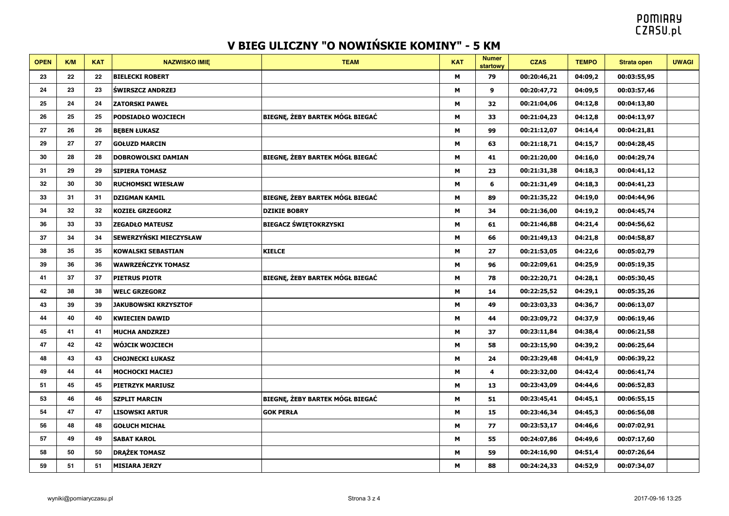| <b>OPEN</b> | K/M | <b>KAT</b> | <b>NAZWISKO IMIE</b>          | <b>TEAM</b>                     | <b>KAT</b> | <b>Numer</b><br>startowy | <b>CZAS</b> | <b>TEMPO</b> | <b>Strata open</b> | <b>UWAGI</b> |
|-------------|-----|------------|-------------------------------|---------------------------------|------------|--------------------------|-------------|--------------|--------------------|--------------|
| 23          | 22  | 22         | <b>BIELECKI ROBERT</b>        |                                 | M          | 79                       | 00:20:46,21 | 04:09,2      | 00:03:55,95        |              |
| 24          | 23  | 23         | <b>ŚWIRSZCZ ANDRZEJ</b>       |                                 | M          | $\boldsymbol{9}$         | 00:20:47,72 | 04:09,5      | 00:03:57,46        |              |
| 25          | 24  | 24         | <b>ZATORSKI PAWEŁ</b>         |                                 | М          | 32                       | 00:21:04,06 | 04:12,8      | 00:04:13,80        |              |
| 26          | 25  | 25         | <b>PODSIADŁO WOJCIECH</b>     | BIEGNĘ, ŻEBY BARTEK MÓGŁ BIEGAĆ | M          | 33                       | 00:21:04,23 | 04:12,8      | 00:04:13,97        |              |
| 27          | 26  | 26         | <b>BEBEN ŁUKASZ</b>           |                                 | м          | 99                       | 00:21:12,07 | 04:14,4      | 00:04:21,81        |              |
| 29          | 27  | 27         | <b>GOŁUZD MARCIN</b>          |                                 | М          | 63                       | 00:21:18,71 | 04:15,7      | 00:04:28,45        |              |
| 30          | 28  | 28         | <b>DOBROWOLSKI DAMIAN</b>     | BIEGNE, ŻEBY BARTEK MÓGŁ BIEGAĆ | M          | 41                       | 00:21:20,00 | 04:16,0      | 00:04:29,74        |              |
| 31          | 29  | 29         | <b>SIPIERA TOMASZ</b>         |                                 | M          | 23                       | 00:21:31,38 | 04:18,3      | 00:04:41,12        |              |
| 32          | 30  | 30         | <b>RUCHOMSKI WIESŁAW</b>      |                                 | м          | 6                        | 00:21:31,49 | 04:18,3      | 00:04:41,23        |              |
| 33          | 31  | 31         | <b>DZIGMAN KAMIL</b>          | BIEGNĘ, ŻEBY BARTEK MÓGŁ BIEGAĆ | M          | 89                       | 00:21:35,22 | 04:19,0      | 00:04:44,96        |              |
| 34          | 32  | 32         | <b>KOZIEŁ GRZEGORZ</b>        | <b>DZIKIE BOBRY</b>             | M          | 34                       | 00:21:36,00 | 04:19,2      | 00:04:45,74        |              |
| 36          | 33  | 33         | <b>ZEGADŁO MATEUSZ</b>        | <b>BIEGACZ ŚWIĘTOKRZYSKI</b>    | М          | 61                       | 00:21:46,88 | 04:21,4      | 00:04:56,62        |              |
| 37          | 34  | 34         | <b>SEWERZYŃSKI MIECZYSŁAW</b> |                                 | M          | 66                       | 00:21:49,13 | 04:21,8      | 00:04:58,87        |              |
| 38          | 35  | 35         | <b>KOWALSKI SEBASTIAN</b>     | <b>KIELCE</b>                   | M          | 27                       | 00:21:53,05 | 04:22,6      | 00:05:02,79        |              |
| 39          | 36  | 36         | <b>WAWRZEŃCZYK TOMASZ</b>     |                                 | М          | 96                       | 00:22:09,61 | 04:25,9      | 00:05:19,35        |              |
| 41          | 37  | 37         | <b>PIETRUS PIOTR</b>          | BIEGNĘ, ŻEBY BARTEK MÓGŁ BIEGAĆ | M          | 78                       | 00:22:20,71 | 04:28,1      | 00:05:30,45        |              |
| 42          | 38  | 38         | <b>WELC GRZEGORZ</b>          |                                 | M          | 14                       | 00:22:25,52 | 04:29,1      | 00:05:35,26        |              |
| 43          | 39  | 39         | <b>JAKUBOWSKI KRZYSZTOF</b>   |                                 | M          | 49                       | 00:23:03,33 | 04:36,7      | 00:06:13,07        |              |
| 44          | 40  | 40         | <b>KWIECIEN DAWID</b>         |                                 | м          | 44                       | 00:23:09,72 | 04:37,9      | 00:06:19,46        |              |
| 45          | 41  | 41         | <b>MUCHA ANDZRZEJ</b>         |                                 | M          | 37                       | 00:23:11,84 | 04:38,4      | 00:06:21,58        |              |
| 47          | 42  | 42         | <b>WÓJCIK WOJCIECH</b>        |                                 | M          | 58                       | 00:23:15,90 | 04:39,2      | 00:06:25,64        |              |
| 48          | 43  | 43         | <b>CHOJNECKI ŁUKASZ</b>       |                                 | M          | 24                       | 00:23:29,48 | 04:41,9      | 00:06:39,22        |              |
| 49          | 44  | 44         | <b>MOCHOCKI MACIEJ</b>        |                                 | M          | $\overline{4}$           | 00:23:32,00 | 04:42,4      | 00:06:41,74        |              |
| 51          | 45  | 45         | <b>PIETRZYK MARIUSZ</b>       |                                 | M          | 13                       | 00:23:43,09 | 04:44,6      | 00:06:52,83        |              |
| 53          | 46  | 46         | <b>SZPLIT MARCIN</b>          | BIEGNĘ, ŻEBY BARTEK MÓGŁ BIEGAĆ | М          | 51                       | 00:23:45,41 | 04:45,1      | 00:06:55,15        |              |
| 54          | 47  | 47         | <b>LISOWSKI ARTUR</b>         | <b>GOK PERŁA</b>                | M          | 15                       | 00:23:46,34 | 04:45,3      | 00:06:56,08        |              |
| 56          | 48  | 48         | <b>GOŁUCH MICHAŁ</b>          |                                 | M          | 77                       | 00:23:53,17 | 04:46,6      | 00:07:02,91        |              |
| 57          | 49  | 49         | <b>SABAT KAROL</b>            |                                 | M          | 55                       | 00:24:07,86 | 04:49,6      | 00:07:17,60        |              |
| 58          | 50  | 50         | <b>DRĄŻEK TOMASZ</b>          |                                 | M          | 59                       | 00:24:16,90 | 04:51,4      | 00:07:26,64        |              |
| 59          | 51  | 51         | <b>MISIARA JERZY</b>          |                                 | M          | 88                       | 00:24:24,33 | 04:52,9      | 00:07:34,07        |              |